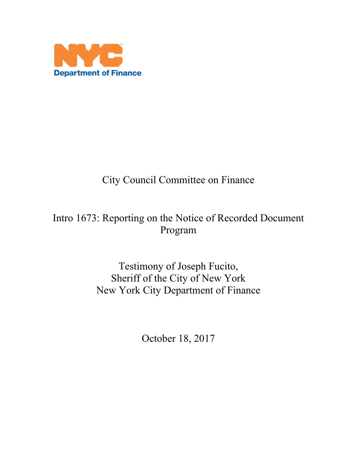

# City Council Committee on Finance

## Intro 1673: Reporting on the Notice of Recorded Document Program

Testimony of Joseph Fucito, Sheriff of the City of New York New York City Department of Finance

October 18, 2017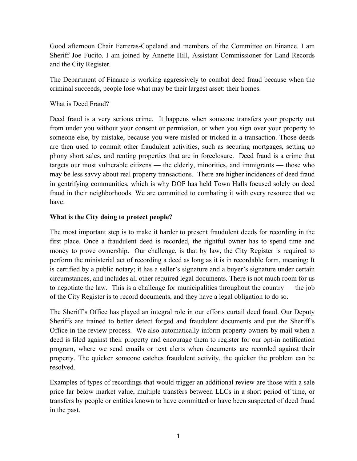Good afternoon Chair Ferreras-Copeland and members of the Committee on Finance. I am Sheriff Joe Fucito. I am joined by Annette Hill, Assistant Commissioner for Land Records and the City Register.

The Department of Finance is working aggressively to combat deed fraud because when the criminal succeeds, people lose what may be their largest asset: their homes.

### What is Deed Fraud?

Deed fraud is a very serious crime. It happens when someone transfers your property out from under you without your consent or permission, or when you sign over your property to someone else, by mistake, because you were misled or tricked in a transaction. Those deeds are then used to commit other fraudulent activities, such as securing mortgages, setting up phony short sales, and renting properties that are in foreclosure. Deed fraud is a crime that targets our most vulnerable citizens — the elderly, minorities, and immigrants — those who may be less savvy about real property transactions. There are higher incidences of deed fraud in gentrifying communities, which is why DOF has held Town Halls focused solely on deed fraud in their neighborhoods. We are committed to combating it with every resource that we have.

### **What is the City doing to protect people?**

The most important step is to make it harder to present fraudulent deeds for recording in the first place. Once a fraudulent deed is recorded, the rightful owner has to spend time and money to prove ownership. Our challenge, is that by law, the City Register is required to perform the ministerial act of recording a deed as long as it is in recordable form, meaning: It is certified by a public notary; it has a seller's signature and a buyer's signature under certain circumstances, and includes all other required legal documents. There is not much room for us to negotiate the law. This is a challenge for municipalities throughout the country — the job of the City Register is to record documents, and they have a legal obligation to do so.

The Sheriff's Office has played an integral role in our efforts curtail deed fraud. Our Deputy Sheriffs are trained to better detect forged and fraudulent documents and put the Sheriff's Office in the review process. We also automatically inform property owners by mail when a deed is filed against their property and encourage them to register for our opt-in notification program, where we send emails or text alerts when documents are recorded against their property. The quicker someone catches fraudulent activity, the quicker the problem can be resolved.

Examples of types of recordings that would trigger an additional review are those with a sale price far below market value, multiple transfers between LLCs in a short period of time, or transfers by people or entities known to have committed or have been suspected of deed fraud in the past.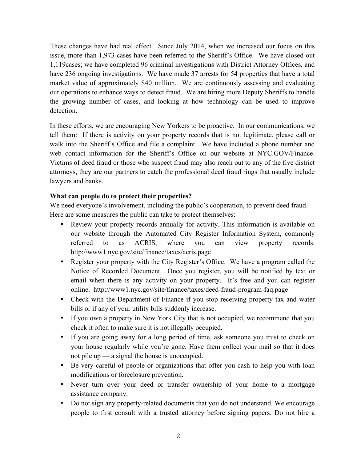These changes have had real effect. Since July 2014, when we increased our focus on this issue, more than 1,973 cases have been referred to the Sheriff's Office. We have closed out 1,119cases; we have completed 96 criminal investigations with District Attorney Offices, and have 236 ongoing investigations. We have made 37 arrests for 54 properties that have a total market value of approximately \$40 million. We are continuously assessing and evaluating our operations to enhance ways to detect fraud. We are hiring more Deputy Sheriffs to handle the growing number of cases, and looking at how technology can be used to improve detection.

In these efforts, we are encouraging New Yorkers to be proactive. In our communications, we tell them: If there is activity on your property records that is not legitimate, please call or walk into the Sheriff's Office and file a complaint. We have included a phone number and web contact information for the Sheriff's Office on our website at NYC.GOV/Finance. Victims of deed fraud or those who suspect fraud may also reach out to any of the five district attorneys, they are our partners to catch the professional deed fraud rings that usually include lawyers and banks.

### **What can people do to protect their properties?**

We need everyone's involvement, including the public's cooperation, to prevent deed fraud. Here are some measures the public can take to protect themselves:

- Review your property records annually for activity. This information is available on our website through the Automated City Register Information System, commonly referred to as ACRIS, where you can view property records. http://www1.nyc.gov/site/finance/taxes/acris.page
- Register your property with the City Register's Office. We have a program called the Notice of Recorded Document. Once you register, you will be notified by text or email when there is any activity on your property. It's free and you can register online. http://www1.nyc.gov/site/finance/taxes/deed-fraud-program-faq.page
- Check with the Department of Finance if you stop receiving property tax and water bills or if any of your utility bills suddenly increase.
- If you own a property in New York City that is not occupied, we recommend that you check it often to make sure it is not illegally occupied.
- If you are going away for a long period of time, ask someone you trust to check on your house regularly while you're gone. Have them collect your mail so that it does not pile up — a signal the house is unoccupied.
- Be very careful of people or organizations that offer you cash to help you with loan modifications or foreclosure prevention.
- Never turn over your deed or transfer ownership of your home to a mortgage assistance company.
- Do not sign any property-related documents that you do not understand. We encourage people to first consult with a trusted attorney before signing papers. Do not hire a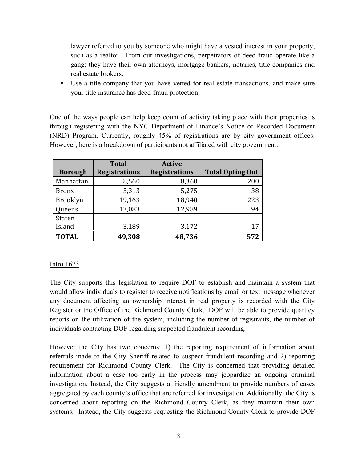lawyer referred to you by someone who might have a vested interest in your property, such as a realtor. From our investigations, perpetrators of deed fraud operate like a gang: they have their own attorneys, mortgage bankers, notaries, title companies and real estate brokers.

• Use a title company that you have vetted for real estate transactions, and make sure your title insurance has deed-fraud protection.

One of the ways people can help keep count of activity taking place with their properties is through registering with the NYC Department of Finance's Notice of Recorded Document (NRD) Program. Currently, roughly 45% of registrations are by city government offices. However, here is a breakdown of participants not affiliated with city government.

|                | <b>Total</b>         | <b>Active</b>        |                         |
|----------------|----------------------|----------------------|-------------------------|
| <b>Borough</b> | <b>Registrations</b> | <b>Registrations</b> | <b>Total Opting Out</b> |
| Manhattan      | 8,560                | 8,360                | 200                     |
| <b>Bronx</b>   | 5,313                | 5,275                | 38                      |
| Brooklyn       | 19,163               | 18,940               | 223                     |
| Queens         | 13,083               | 12,989               | 94                      |
| Staten         |                      |                      |                         |
| Island         | 3,189                | 3,172                | 17                      |
| <b>TOTAL</b>   | 49,308               | 48,736               | 572                     |

### Intro 1673

The City supports this legislation to require DOF to establish and maintain a system that would allow individuals to register to receive notifications by email or text message whenever any document affecting an ownership interest in real property is recorded with the City Register or the Office of the Richmond County Clerk. DOF will be able to provide quartley reports on the utilization of the system, including the number of registrants, the number of individuals contacting DOF regarding suspected fraudulent recording.

However the City has two concerns: 1) the reporting requirement of information about referrals made to the City Sheriff related to suspect fraudulent recording and 2) reporting requirement for Richmond County Clerk. The City is concerned that providing detailed information about a case too early in the process may jeopardize an ongoing criminal investigation. Instead, the City suggests a friendly amendment to provide numbers of cases aggregated by each county's office that are referred for investigation. Additionally, the City is concerned about reporting on the Richmond County Clerk, as they maintain their own systems. Instead, the City suggests requesting the Richmond County Clerk to provide DOF